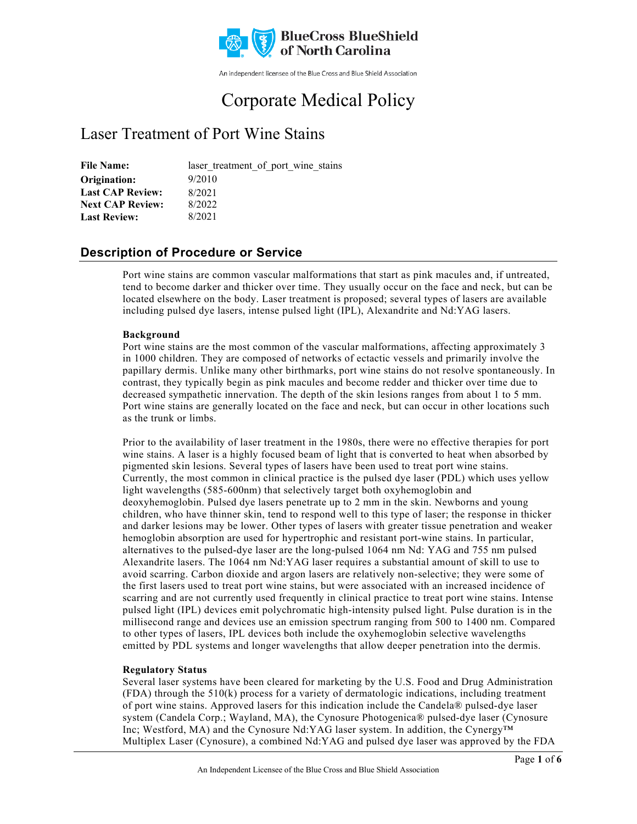

An independent licensee of the Blue Cross and Blue Shield Association

# Corporate Medical Policy

## Laser Treatment of Port Wine Stains

File Name: laser treatment of port wine stains 9/2010 8/2021 8/2022 8/2021 **Origination: Last CAP Review: Next CAP Review: Last Review:**

### **Description of Procedure or Service**

Port wine stains are common vascular malformations that start as pink macules and, if untreated, tend to become darker and thicker over time. They usually occur on the face and neck, but can be located elsewhere on the body. Laser treatment is proposed; several types of lasers are available including pulsed dye lasers, intense pulsed light (IPL), Alexandrite and Nd:YAG lasers.

#### **Background**

Port wine stains are the most common of the vascular malformations, affecting approximately 3 in 1000 children. They are composed of networks of ectactic vessels and primarily involve the papillary dermis. Unlike many other birthmarks, port wine stains do not resolve spontaneously. In contrast, they typically begin as pink macules and become redder and thicker over time due to decreased sympathetic innervation. The depth of the skin lesions ranges from about 1 to 5 mm. Port wine stains are generally located on the face and neck, but can occur in other locations such as the trunk or limbs.

Prior to the availability of laser treatment in the 1980s, there were no effective therapies for port wine stains. A laser is a highly focused beam of light that is converted to heat when absorbed by pigmented skin lesions. Several types of lasers have been used to treat port wine stains. Currently, the most common in clinical practice is the pulsed dye laser (PDL) which uses yellow light wavelengths (585-600nm) that selectively target both oxyhemoglobin and deoxyhemoglobin. Pulsed dye lasers penetrate up to 2 mm in the skin. Newborns and young children, who have thinner skin, tend to respond well to this type of laser; the response in thicker and darker lesions may be lower. Other types of lasers with greater tissue penetration and weaker hemoglobin absorption are used for hypertrophic and resistant port-wine stains. In particular, alternatives to the pulsed-dye laser are the long-pulsed 1064 nm Nd: YAG and 755 nm pulsed Alexandrite lasers. The 1064 nm Nd:YAG laser requires a substantial amount of skill to use to avoid scarring. Carbon dioxide and argon lasers are relatively non-selective; they were some of the first lasers used to treat port wine stains, but were associated with an increased incidence of scarring and are not currently used frequently in clinical practice to treat port wine stains. Intense pulsed light (IPL) devices emit polychromatic high-intensity pulsed light. Pulse duration is in the millisecond range and devices use an emission spectrum ranging from 500 to 1400 nm. Compared to other types of lasers, IPL devices both include the oxyhemoglobin selective wavelengths emitted by PDL systems and longer wavelengths that allow deeper penetration into the dermis.

#### **Regulatory Status**

Several laser systems have been cleared for marketing by the U.S. Food and Drug Administration (FDA) through the 510(k) process for a variety of dermatologic indications, including treatment of port wine stains. Approved lasers for this indication include the Candela® pulsed-dye laser system (Candela Corp.; Wayland, MA), the Cynosure Photogenica® pulsed-dye laser (Cynosure Inc; Westford, MA) and the Cynosure Nd:YAG laser system. In addition, the Cynergy™ Multiplex Laser (Cynosure), a combined Nd:YAG and pulsed dye laser was approved by the FDA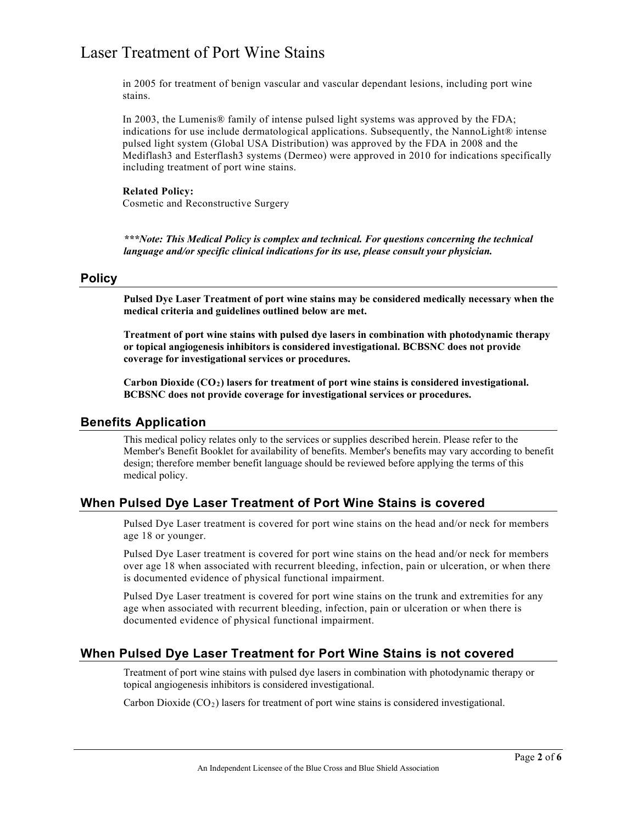in 2005 for treatment of benign vascular and vascular dependant lesions, including port wine stains.

In 2003, the Lumenis® family of intense pulsed light systems was approved by the FDA; indications for use include dermatological applications. Subsequently, the NannoLight® intense pulsed light system (Global USA Distribution) was approved by the FDA in 2008 and the Mediflash3 and Esterflash3 systems (Dermeo) were approved in 2010 for indications specifically including treatment of port wine stains.

### **Related Policy:**

Cosmetic and Reconstructive Surgery

*\*\*\*Note: This Medical Policy is complex and technical. For questions concerning the technical language and/or specific clinical indications for its use, please consult your physician.*

#### **Policy**

**Pulsed Dye Laser Treatment of port wine stains may be considered medically necessary when the medical criteria and guidelines outlined below are met.**

**Treatment of port wine stains with pulsed dye lasers in combination with photodynamic therapy or topical angiogenesis inhibitors is considered investigational. BCBSNC does not provide coverage for investigational services or procedures.** 

**Carbon Dioxide (CO2) lasers for treatment of port wine stains is considered investigational. BCBSNC does not provide coverage for investigational services or procedures.**

#### **Benefits Application**

This medical policy relates only to the services or supplies described herein. Please refer to the Member's Benefit Booklet for availability of benefits. Member's benefits may vary according to benefit design; therefore member benefit language should be reviewed before applying the terms of this medical policy.

#### **When Pulsed Dye Laser Treatment of Port Wine Stains is covered**

Pulsed Dye Laser treatment is covered for port wine stains on the head and/or neck for members age 18 or younger.

Pulsed Dye Laser treatment is covered for port wine stains on the head and/or neck for members over age 18 when associated with recurrent bleeding, infection, pain or ulceration, or when there is documented evidence of physical functional impairment.

Pulsed Dye Laser treatment is covered for port wine stains on the trunk and extremities for any age when associated with recurrent bleeding, infection, pain or ulceration or when there is documented evidence of physical functional impairment.

#### **When Pulsed Dye Laser Treatment for Port Wine Stains is not covered**

Treatment of port wine stains with pulsed dye lasers in combination with photodynamic therapy or topical angiogenesis inhibitors is considered investigational.

Carbon Dioxide  $(CO<sub>2</sub>)$  lasers for treatment of port wine stains is considered investigational.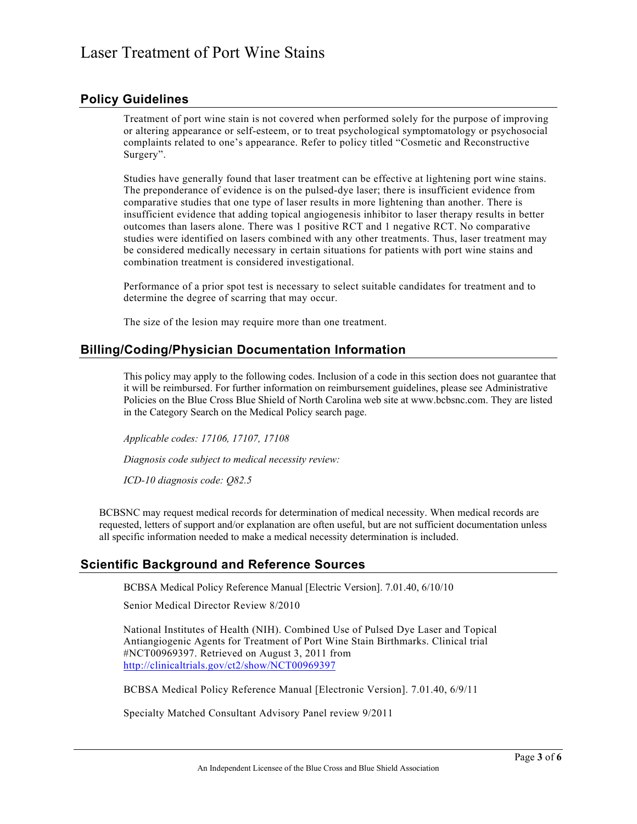### **Policy Guidelines**

Treatment of port wine stain is not covered when performed solely for the purpose of improving or altering appearance or self-esteem, or to treat psychological symptomatology or psychosocial complaints related to one's appearance. Refer to policy titled "Cosmetic and Reconstructive Surgery".

Studies have generally found that laser treatment can be effective at lightening port wine stains. The preponderance of evidence is on the pulsed-dye laser; there is insufficient evidence from comparative studies that one type of laser results in more lightening than another. There is insufficient evidence that adding topical angiogenesis inhibitor to laser therapy results in better outcomes than lasers alone. There was 1 positive RCT and 1 negative RCT. No comparative studies were identified on lasers combined with any other treatments. Thus, laser treatment may be considered medically necessary in certain situations for patients with port wine stains and combination treatment is considered investigational.

Performance of a prior spot test is necessary to select suitable candidates for treatment and to determine the degree of scarring that may occur.

The size of the lesion may require more than one treatment.

### **Billing/Coding/Physician Documentation Information**

This policy may apply to the following codes. Inclusion of a code in this section does not guarantee that it will be reimbursed. For further information on reimbursement guidelines, please see Administrative Policies on the Blue Cross Blue Shield of North Carolina web site at www.bcbsnc.com. They are listed in the Category Search on the Medical Policy search page.

*Applicable codes: 17106, 17107, 17108*

*Diagnosis code subject to medical necessity review:*

*ICD-10 diagnosis code: Q82.5*

BCBSNC may request medical records for determination of medical necessity. When medical records are requested, letters of support and/or explanation are often useful, but are not sufficient documentation unless all specific information needed to make a medical necessity determination is included.

### **Scientific Background and Reference Sources**

BCBSA Medical Policy Reference Manual [Electric Version]. 7.01.40, 6/10/10

Senior Medical Director Review 8/2010

National Institutes of Health (NIH). Combined Use of Pulsed Dye Laser and Topical Antiangiogenic Agents for Treatment of Port Wine Stain Birthmarks. Clinical trial #NCT00969397. Retrieved on August 3, 2011 from [http://clinicaltrials.gov/ct2/show/NCT00969397](http://clinicaltrials.gov/ct2/show/NCT00969397?term=NCT00969397&rank=1)

BCBSA Medical Policy Reference Manual [Electronic Version]. 7.01.40, 6/9/11

Specialty Matched Consultant Advisory Panel review 9/2011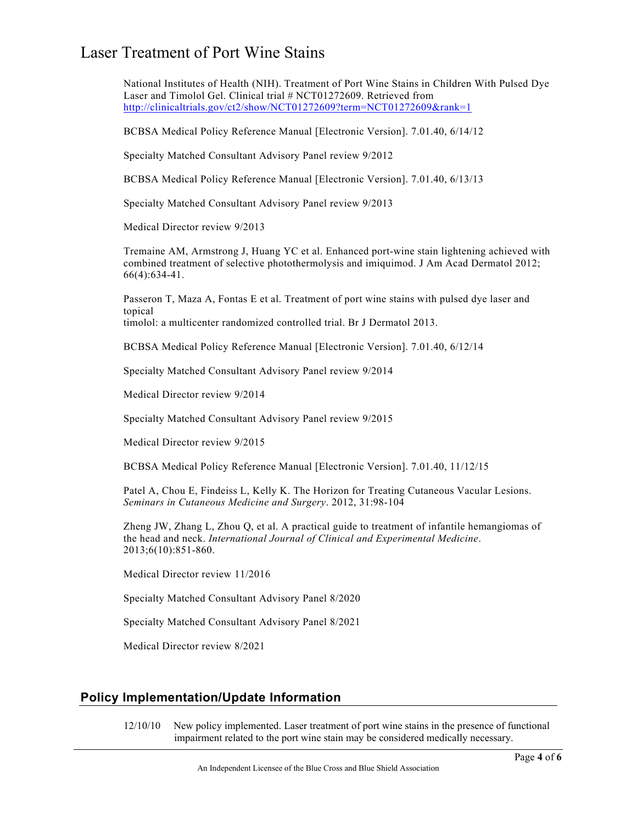National Institutes of Health (NIH). Treatment of Port Wine Stains in Children With Pulsed Dye Laser and Timolol Gel. Clinical trial # NCT01272609. Retrieved from <http://clinicaltrials.gov/ct2/show/NCT01272609?term=NCT01272609&rank=1>

BCBSA Medical Policy Reference Manual [Electronic Version]. 7.01.40, 6/14/12

Specialty Matched Consultant Advisory Panel review 9/2012

BCBSA Medical Policy Reference Manual [Electronic Version]. 7.01.40, 6/13/13

Specialty Matched Consultant Advisory Panel review 9/2013

Medical Director review 9/2013

Tremaine AM, Armstrong J, Huang YC et al. Enhanced port-wine stain lightening achieved with combined treatment of selective photothermolysis and imiquimod. J Am Acad Dermatol 2012; 66(4):634-41.

Passeron T, Maza A, Fontas E et al. Treatment of port wine stains with pulsed dye laser and topical timolol: a multicenter randomized controlled trial. Br J Dermatol 2013.

BCBSA Medical Policy Reference Manual [Electronic Version]. 7.01.40, 6/12/14

Specialty Matched Consultant Advisory Panel review 9/2014

Medical Director review 9/2014

Specialty Matched Consultant Advisory Panel review 9/2015

Medical Director review 9/2015

BCBSA Medical Policy Reference Manual [Electronic Version]. 7.01.40, 11/12/15

Patel A, Chou E, Findeiss L, Kelly K. The Horizon for Treating Cutaneous Vacular Lesions. *Seminars in Cutaneous Medicine and Surgery*. 2012, 31:98-104

Zheng JW, Zhang L, Zhou Q, et al. A practical guide to treatment of infantile hemangiomas of the head and neck. *International Journal of Clinical and Experimental Medicine*. 2013;6(10):851-860.

Medical Director review 11/2016

Specialty Matched Consultant Advisory Panel 8/2020

Specialty Matched Consultant Advisory Panel 8/2021

Medical Director review 8/2021

#### **Policy Implementation/Update Information**

12/10/10 New policy implemented. Laser treatment of port wine stains in the presence of functional impairment related to the port wine stain may be considered medically necessary.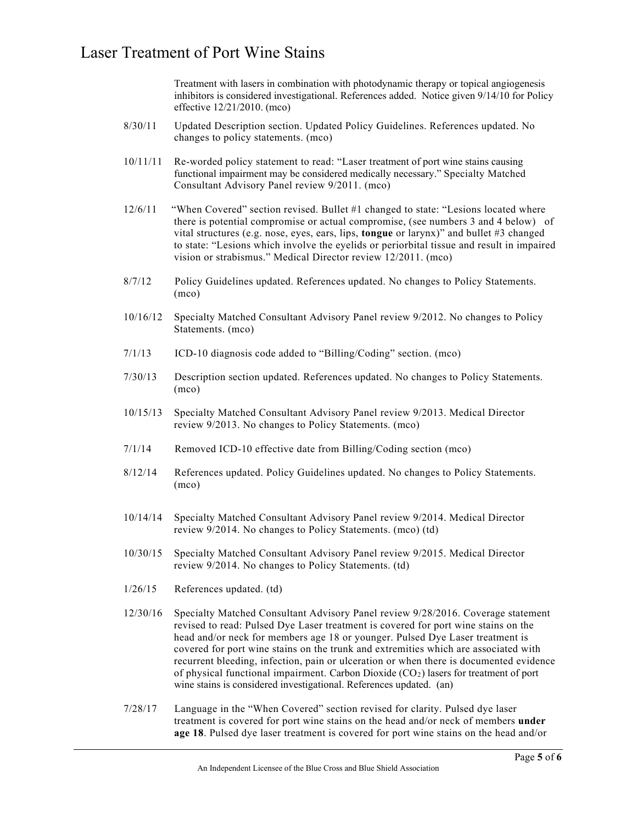Treatment with lasers in combination with photodynamic therapy or topical angiogenesis inhibitors is considered investigational. References added. Notice given 9/14/10 for Policy effective 12/21/2010. (mco)

- 8/30/11 Updated Description section. Updated Policy Guidelines. References updated. No changes to policy statements. (mco)
- 10/11/11 Re-worded policy statement to read: "Laser treatment of port wine stains causing functional impairment may be considered medically necessary." Specialty Matched Consultant Advisory Panel review 9/2011. (mco)
- 12/6/11 "When Covered" section revised. Bullet #1 changed to state: "Lesions located where there is potential compromise or actual compromise, (see numbers 3 and 4 below) of vital structures (e.g. nose, eyes, ears, lips, **tongue** or larynx)" and bullet #3 changed to state: "Lesions which involve the eyelids or periorbital tissue and result in impaired vision or strabismus." Medical Director review 12/2011. (mco)
- 8/7/12 Policy Guidelines updated. References updated. No changes to Policy Statements. (mco)
- 10/16/12 Specialty Matched Consultant Advisory Panel review 9/2012. No changes to Policy Statements. (mco)
- 7/1/13 ICD-10 diagnosis code added to "Billing/Coding" section. (mco)
- 7/30/13 Description section updated. References updated. No changes to Policy Statements. (mco)
- 10/15/13 Specialty Matched Consultant Advisory Panel review 9/2013. Medical Director review 9/2013. No changes to Policy Statements. (mco)
- 7/1/14 Removed ICD-10 effective date from Billing/Coding section (mco)
- 8/12/14 References updated. Policy Guidelines updated. No changes to Policy Statements. (mco)
- 10/14/14 Specialty Matched Consultant Advisory Panel review 9/2014. Medical Director review 9/2014. No changes to Policy Statements. (mco) (td)
- 10/30/15 Specialty Matched Consultant Advisory Panel review 9/2015. Medical Director review 9/2014. No changes to Policy Statements. (td)
- 1/26/15 References updated. (td)
- 12/30/16 Specialty Matched Consultant Advisory Panel review 9/28/2016. Coverage statement revised to read: Pulsed Dye Laser treatment is covered for port wine stains on the head and/or neck for members age 18 or younger. Pulsed Dye Laser treatment is covered for port wine stains on the trunk and extremities which are associated with recurrent bleeding, infection, pain or ulceration or when there is documented evidence of physical functional impairment. Carbon Dioxide  $(CO<sub>2</sub>)$  lasers for treatment of port wine stains is considered investigational. References updated. (an)
- 7/28/17 Language in the "When Covered" section revised for clarity. Pulsed dye laser treatment is covered for port wine stains on the head and/or neck of members **under age 18**. Pulsed dye laser treatment is covered for port wine stains on the head and/or